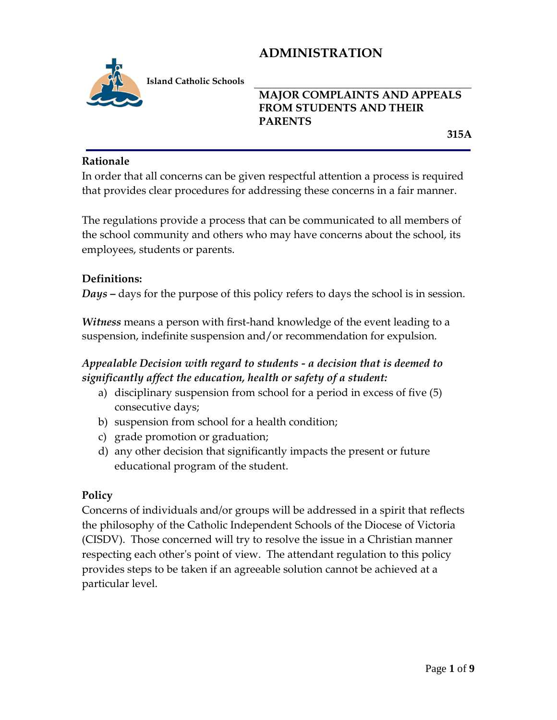

**Island Catholic Schools** 

## **MAJOR COMPLAINTS AND APPEALS FROM STUDENTS AND THEIR PARENTS**

 **315A**

#### **Rationale**

In order that all concerns can be given respectful attention a process is required that provides clear procedures for addressing these concerns in a fair manner.

The regulations provide a process that can be communicated to all members of the school community and others who may have concerns about the school, its employees, students or parents.

#### **Definitions:**

*Days* **–** days for the purpose of this policy refers to days the school is in session.

*Witness* means a person with first-hand knowledge of the event leading to a suspension, indefinite suspension and/or recommendation for expulsion.

## *Appealable Decision with regard to students - a decision that is deemed to significantly affect the education, health or safety of a student:*

- a) disciplinary suspension from school for a period in excess of five (5) consecutive days;
- b) suspension from school for a health condition;
- c) grade promotion or graduation;
- d) any other decision that significantly impacts the present or future educational program of the student.

#### **Policy**

Concerns of individuals and/or groups will be addressed in a spirit that reflects the philosophy of the Catholic Independent Schools of the Diocese of Victoria (CISDV). Those concerned will try to resolve the issue in a Christian manner respecting each other's point of view. The attendant regulation to this policy provides steps to be taken if an agreeable solution cannot be achieved at a particular level.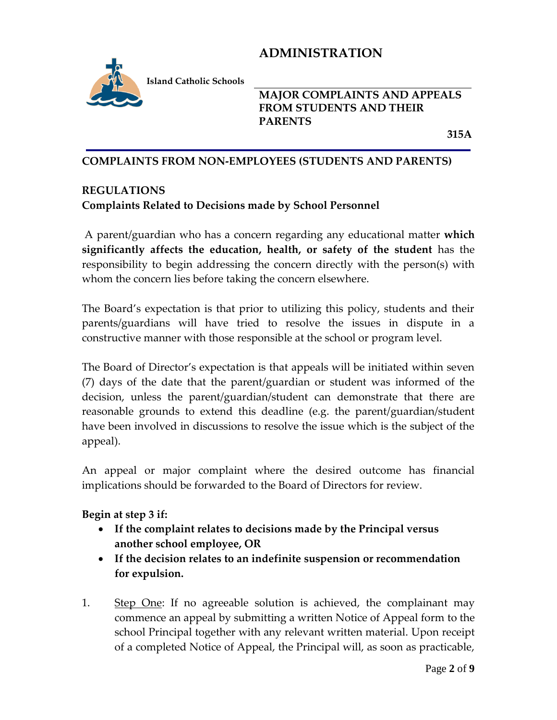

**Island Catholic Schools** 

**MAJOR COMPLAINTS AND APPEALS FROM STUDENTS AND THEIR PARENTS**

 **315A**

#### **COMPLAINTS FROM NON-EMPLOYEES (STUDENTS AND PARENTS)**

### **REGULATIONS Complaints Related to Decisions made by School Personnel**

A parent/guardian who has a concern regarding any educational matter **which significantly affects the education, health, or safety of the student** has the responsibility to begin addressing the concern directly with the person(s) with whom the concern lies before taking the concern elsewhere.

The Board's expectation is that prior to utilizing this policy, students and their parents/guardians will have tried to resolve the issues in dispute in a constructive manner with those responsible at the school or program level.

The Board of Director's expectation is that appeals will be initiated within seven (7) days of the date that the parent/guardian or student was informed of the decision, unless the parent/guardian/student can demonstrate that there are reasonable grounds to extend this deadline (e.g. the parent/guardian/student have been involved in discussions to resolve the issue which is the subject of the appeal).

An appeal or major complaint where the desired outcome has financial implications should be forwarded to the Board of Directors for review.

#### **Begin at step 3 if:**

- **If the complaint relates to decisions made by the Principal versus another school employee, OR**
- **If the decision relates to an indefinite suspension or recommendation for expulsion.**
- 1. Step One: If no agreeable solution is achieved, the complainant may commence an appeal by submitting a written Notice of Appeal form to the school Principal together with any relevant written material. Upon receipt of a completed Notice of Appeal, the Principal will, as soon as practicable,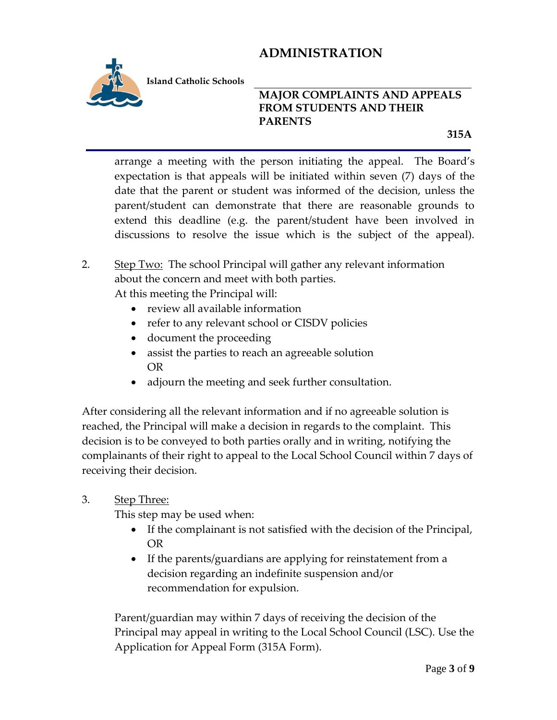

**Island Catholic Schools** 

### **MAJOR COMPLAINTS AND APPEALS FROM STUDENTS AND THEIR PARENTS**

 **315A**

arrange a meeting with the person initiating the appeal. The Board's expectation is that appeals will be initiated within seven (7) days of the date that the parent or student was informed of the decision, unless the parent/student can demonstrate that there are reasonable grounds to extend this deadline (e.g. the parent/student have been involved in discussions to resolve the issue which is the subject of the appeal).

### 2. Step Two: The school Principal will gather any relevant information about the concern and meet with both parties. At this meeting the Principal will:

- review all available information
- refer to any relevant school or CISDV policies
- document the proceeding
- assist the parties to reach an agreeable solution OR
- adjourn the meeting and seek further consultation.

After considering all the relevant information and if no agreeable solution is reached, the Principal will make a decision in regards to the complaint. This decision is to be conveyed to both parties orally and in writing, notifying the complainants of their right to appeal to the Local School Council within 7 days of receiving their decision.

3. Step Three:

This step may be used when:

- If the complainant is not satisfied with the decision of the Principal, OR
- If the parents/guardians are applying for reinstatement from a decision regarding an indefinite suspension and/or recommendation for expulsion.

Parent/guardian may within 7 days of receiving the decision of the Principal may appeal in writing to the Local School Council (LSC). Use the Application for Appeal Form (315A Form).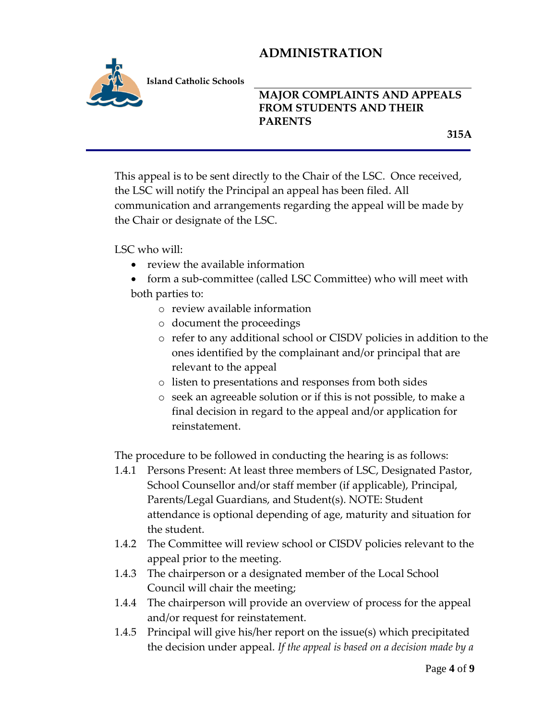

**Island Catholic Schools** 

## **MAJOR COMPLAINTS AND APPEALS FROM STUDENTS AND THEIR PARENTS**

 **315A**

This appeal is to be sent directly to the Chair of the LSC. Once received, the LSC will notify the Principal an appeal has been filed. All communication and arrangements regarding the appeal will be made by the Chair or designate of the LSC.

LSC who will:

- review the available information
- form a sub-committee (called LSC Committee) who will meet with both parties to:
	- o review available information
	- o document the proceedings
	- o refer to any additional school or CISDV policies in addition to the ones identified by the complainant and/or principal that are relevant to the appeal
	- o listen to presentations and responses from both sides
	- o seek an agreeable solution or if this is not possible, to make a final decision in regard to the appeal and/or application for reinstatement.

The procedure to be followed in conducting the hearing is as follows:

- 1.4.1 Persons Present: At least three members of LSC, Designated Pastor, School Counsellor and/or staff member (if applicable), Principal, Parents/Legal Guardians, and Student(s). NOTE: Student attendance is optional depending of age, maturity and situation for the student.
- 1.4.2 The Committee will review school or CISDV policies relevant to the appeal prior to the meeting.
- 1.4.3 The chairperson or a designated member of the Local School Council will chair the meeting;
- 1.4.4 The chairperson will provide an overview of process for the appeal and/or request for reinstatement.
- 1.4.5 Principal will give his/her report on the issue(s) which precipitated the decision under appeal. *If the appeal is based on a decision made by a*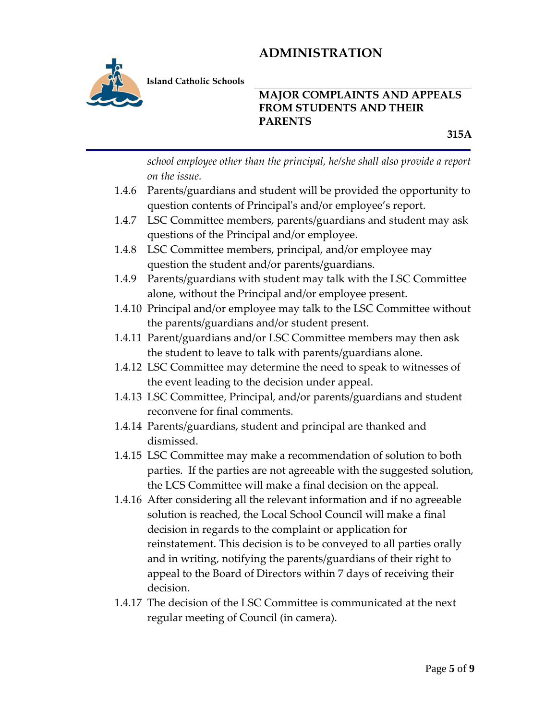

**Island Catholic Schools** 

### **MAJOR COMPLAINTS AND APPEALS FROM STUDENTS AND THEIR PARENTS**

 **315A**

*school employee other than the principal, he/she shall also provide a report on the issue.*

- 1.4.6 Parents/guardians and student will be provided the opportunity to question contents of Principal's and/or employee's report.
- 1.4.7 LSC Committee members, parents/guardians and student may ask questions of the Principal and/or employee.
- 1.4.8 LSC Committee members, principal, and/or employee may question the student and/or parents/guardians.
- 1.4.9 Parents/guardians with student may talk with the LSC Committee alone, without the Principal and/or employee present.
- 1.4.10 Principal and/or employee may talk to the LSC Committee without the parents/guardians and/or student present.
- 1.4.11 Parent/guardians and/or LSC Committee members may then ask the student to leave to talk with parents/guardians alone.
- 1.4.12 LSC Committee may determine the need to speak to witnesses of the event leading to the decision under appeal.
- 1.4.13 LSC Committee, Principal, and/or parents/guardians and student reconvene for final comments.
- 1.4.14 Parents/guardians, student and principal are thanked and dismissed.
- 1.4.15 LSC Committee may make a recommendation of solution to both parties. If the parties are not agreeable with the suggested solution, the LCS Committee will make a final decision on the appeal.
- 1.4.16 After considering all the relevant information and if no agreeable solution is reached, the Local School Council will make a final decision in regards to the complaint or application for reinstatement. This decision is to be conveyed to all parties orally and in writing, notifying the parents/guardians of their right to appeal to the Board of Directors within 7 days of receiving their decision.
- 1.4.17 The decision of the LSC Committee is communicated at the next regular meeting of Council (in camera).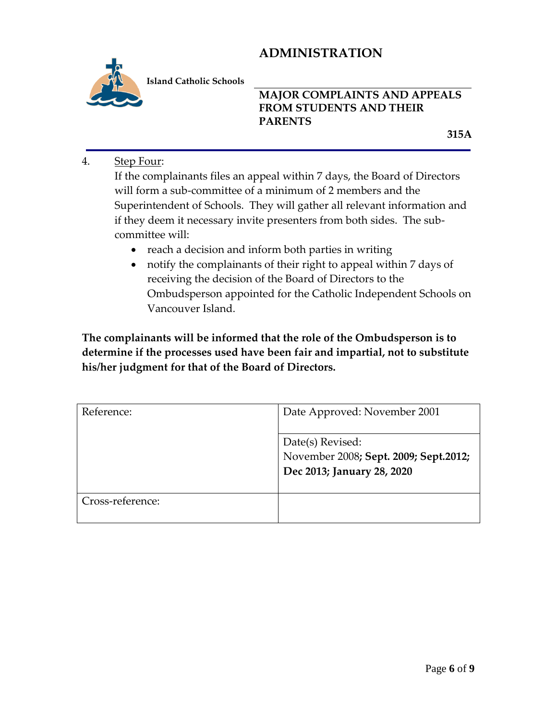

**Island Catholic Schools** 

## **MAJOR COMPLAINTS AND APPEALS FROM STUDENTS AND THEIR PARENTS**

 **315A**

4. Step Four:

If the complainants files an appeal within 7 days, the Board of Directors will form a sub-committee of a minimum of 2 members and the Superintendent of Schools. They will gather all relevant information and if they deem it necessary invite presenters from both sides. The subcommittee will:

- reach a decision and inform both parties in writing
- notify the complainants of their right to appeal within 7 days of receiving the decision of the Board of Directors to the Ombudsperson appointed for the Catholic Independent Schools on Vancouver Island.

**The complainants will be informed that the role of the Ombudsperson is to determine if the processes used have been fair and impartial, not to substitute his/her judgment for that of the Board of Directors.**

| Reference:       | Date Approved: November 2001                                                            |
|------------------|-----------------------------------------------------------------------------------------|
|                  | Date(s) Revised:<br>November 2008; Sept. 2009; Sept.2012;<br>Dec 2013; January 28, 2020 |
| Cross-reference: |                                                                                         |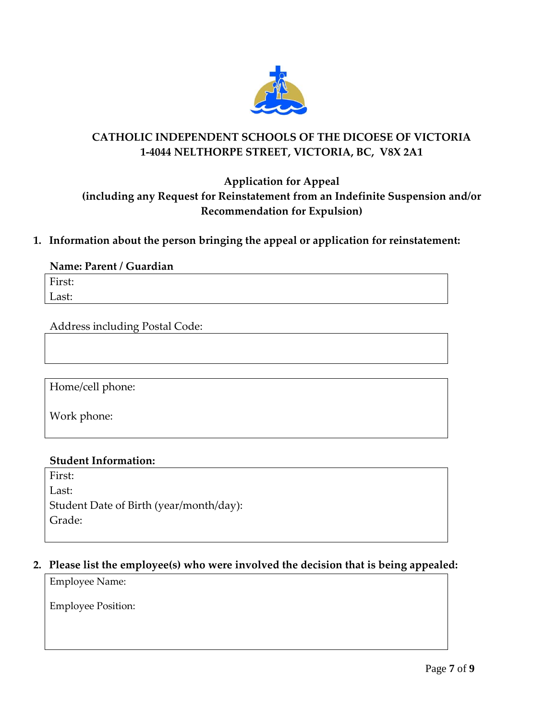

## **CATHOLIC INDEPENDENT SCHOOLS OF THE DICOESE OF VICTORIA 1-4044 NELTHORPE STREET, VICTORIA, BC, V8X 2A1**

## **Application for Appeal (including any Request for Reinstatement from an Indefinite Suspension and/or Recommendation for Expulsion)**

#### **1. Information about the person bringing the appeal or application for reinstatement:**

#### **Name: Parent / Guardian**

First: Last:

Address including Postal Code:

Home/cell phone:

Work phone:

#### **Student Information:**

First: Last: Student Date of Birth (year/month/day): Grade:

#### **2. Please list the employee(s) who were involved the decision that is being appealed:**

Employee Name:

Employee Position: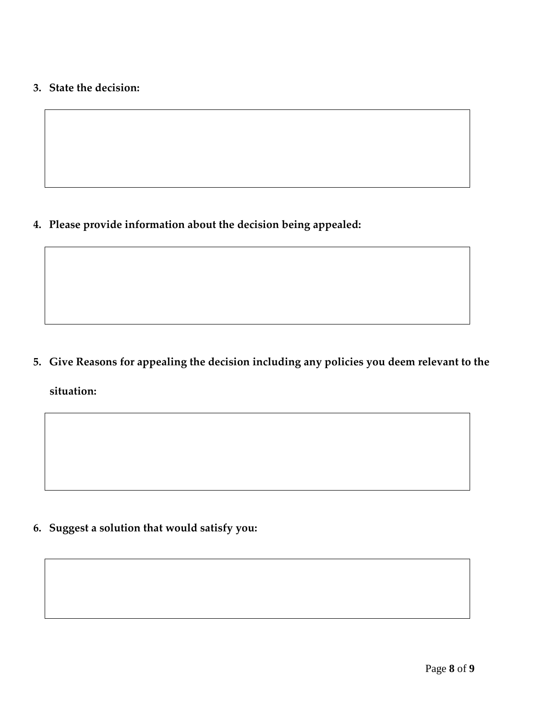## **3. State the decision:**

**4. Please provide information about the decision being appealed:**

**5. Give Reasons for appealing the decision including any policies you deem relevant to the situation:**

**6. Suggest a solution that would satisfy you:**